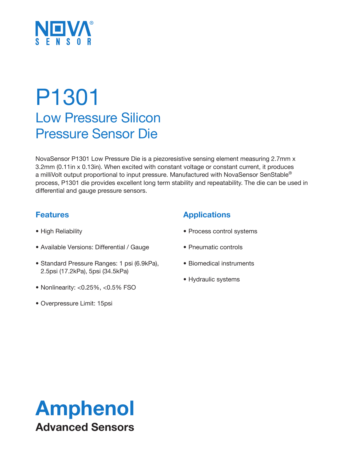

# P1301 Low Pressure Silicon Pressure Sensor Die

NovaSensor P1301 Low Pressure Die is a piezoresistive sensing element measuring 2.7mm x 3.2mm (0.11in x 0.13in). When excited with constant voltage or constant current, it produces a milliVolt output proportional to input pressure. Manufactured with NovaSensor SenStable® process, P1301 die provides excellent long term stability and repeatability. The die can be used in differential and gauge pressure sensors.

### **Features**

- High Reliability
- Available Versions: Differential / Gauge
- Standard Pressure Ranges: 1 psi (6.9kPa), 2.5psi (17.2kPa), 5psi (34.5kPa)
- Nonlinearity: <0.25%, <0.5% FSO
- Overpressure Limit: 15psi

## **Applications**

- Process control systems
- Pneumatic controls
- Biomedical instruments
- Hydraulic systems

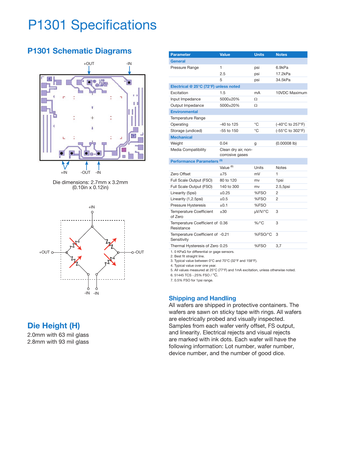## P1301 Specifications

## **P1301 Schematic Diagrams**







## **Die Height (H)**

2.0mm with 63 mil glass 2.8mm with 93 mil glass

| <b>Parameter</b>                                | <b>Value</b>                           | <b>Units</b> | <b>Notes</b>     |
|-------------------------------------------------|----------------------------------------|--------------|------------------|
| General                                         |                                        |              |                  |
| Pressure Range                                  | 1                                      | psi          | 6.9kPa           |
|                                                 | 2.5                                    | psi          | 17.2kPa          |
|                                                 | 5                                      | psi          | 34.5kPa          |
| Electrical @ 25°C (72°F) unless noted           |                                        |              |                  |
| Excitation                                      | 1.5                                    | mA           | 10VDC Maximum    |
| Input Impedance                                 | 5000±20%                               | Ω            |                  |
| Output Impedance                                | 5000±20%                               | Ω            |                  |
| <b>Environmental</b>                            |                                        |              |                  |
| Temperature Range                               |                                        |              |                  |
| Operating                                       | $-40$ to 125                           | °C           | (-40°C to 257°F) |
| Storage (undiced)                               | $-55$ to $150$                         | °C           | (-55°C to 302°F) |
| <b>Mechanical</b>                               |                                        |              |                  |
| Weight                                          | 0.04                                   | g            | $(0.00008$ lb)   |
| Media Compatibility                             | Clean dry air, non-<br>corrosive gases |              |                  |
| Performance Parameters <sup>(5)</sup>           |                                        |              |                  |
|                                                 | Value <sup>(6)</sup>                   | Units        | <b>Notes</b>     |
| Zero Offset                                     | ±75                                    | mV           | 1                |
| Full Scale Output (FSO)                         | 80 to 120                              | mv           | 1psi             |
| Full Scale Output (FSO)                         | 140 to 300                             | mv           | 2.5,5psi         |
| Linearity (5psi)                                | ±0.25                                  | %FSO         | $\overline{2}$   |
| Linearity (1,2.5psi)                            | $\pm 0.5$                              | %FSO         | 2                |
| Pressure Hysteresis                             | ±0.1                                   | %FSO         |                  |
| <b>Temperature Coefficient</b><br>of Zero       | ±30                                    | µV/V/°C      | 3                |
| Temperature Coefficient of 0.36<br>Resistance   |                                        | $%$ /°C      | 3                |
| Temperature Coefficient of -0.21<br>Sensitivity |                                        | %FSO/°C      | 3                |
| Thermal Hysteresis of Zero 0.25                 |                                        | %FSO         | 3,7              |
| 1. 0 KPaG for differential or gage sensors.     |                                        |              |                  |

2. Best fit straight line.

3. Typical value between 0°C and 70°C (32°F and 158°F).

4. Typical value over one year.

5. All values measured at 25°C (77°F) and 1mA excitation, unless otherwise noted.

6. 51445 TCS -.25% FSO / °C.

7. 0.5% FSO for 1psi range.

#### **Shipping and Handling**

All wafers are shipped in protective containers. The wafers are sawn on sticky tape with rings. All wafers are electrically probed and visually inspected. Samples from each wafer verify offset, FS output, and linearity. Electrical rejects and visual rejects are marked with ink dots. Each wafer will have the following information: Lot number, wafer number, device number, and the number of good dice.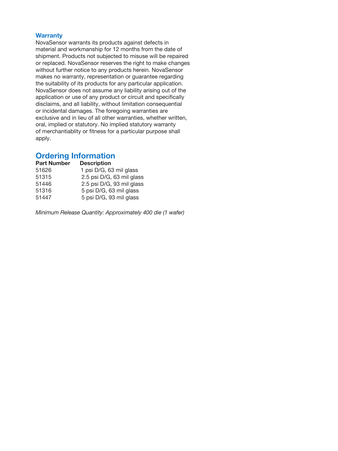#### **Warranty**

NovaSensor warrants its products against defects in material and workmanship for 12 months from the date of shipment. Products not subjected to misuse will be repaired or replaced. NovaSensor reserves the right to make changes without further notice to any products herein. NovaSensor makes no warranty, representation or guarantee regarding the suitability of its products for any particular application. NovaSensor does not assume any liability arising out of the application or use of any product or circuit and specifically disclaims, and all liability, without limitation consequential or incidental damages. The foregoing warranties are exclusive and in lieu of all other warranties, whether written, oral, implied or statutory. No implied statutory warranty of merchantiablity or fitness for a particular purpose shall apply.

### **Ordering Information**

| <b>Part Number</b> | <b>Description</b>        |
|--------------------|---------------------------|
| 51626              | 1 psi D/G, 63 mil glass   |
| 51315              | 2.5 psi D/G, 63 mil glass |
| 51446              | 2.5 psi D/G, 93 mil glass |
| 51316              | 5 psi D/G, 63 mil glass   |
| 51447              | 5 psi D/G, 93 mil glass   |
|                    |                           |

*Minimum Release Quantity: Approximately 400 die (1 wafer)*